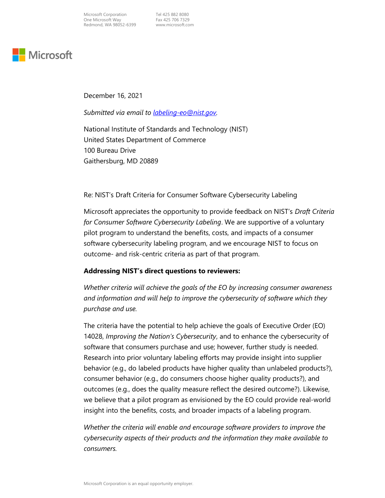

December 16, 2021

Submitted via email to <u>[labeling-eo@nist.gov](mailto:labeling-eo@nist.gov)</u>.

 National Institute of Standards and Technology (NIST) United States Department of Commerce 100 Bureau Drive Gaithersburg, MD 20889

Re: NIST's Draft Criteria for Consumer Software Cybersecurity Labeling

Microsoft appreciates the opportunity to provide feedback on NIST's Draft Criteria for Consumer Software Cybersecurity Labeling. We are supportive of a voluntary pilot program to understand the benefits, costs, and impacts of a consumer software cybersecurity labeling program, and we encourage NIST to focus on outcome- and risk-centric criteria as part of that program.

#### Addressing NIST's direct questions to reviewers:

 Whether criteria will achieve the goals of the EO by increasing consumer awareness and information and will help to improve the cybersecurity of software which they purchase and use.

 The criteria have the potential to help achieve the goals of Executive Order (EO) 14028, Improving the Nation's Cybersecurity, and to enhance the cybersecurity of software that consumers purchase and use; however, further study is needed. Research into prior voluntary labeling efforts may provide insight into supplier behavior (e.g., do labeled products have higher quality than unlabeled products?), consumer behavior (e.g., do consumers choose higher quality products?), and outcomes (e.g., does the quality measure reflect the desired outcome?). Likewise, we believe that a pilot program as envisioned by the EO could provide real-world insight into the benefits, costs, and broader impacts of a labeling program.

 Whether the criteria will enable and encourage software providers to improve the cybersecurity aspects of their products and the information they make available to consumers.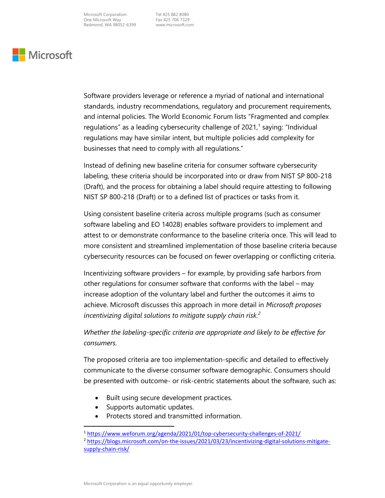## **Nicrosoft**

 Software providers leverage or reference a myriad of national and international standards, industry recommendations, regulatory and procurement requirements, and internal policies. The World Economic Forum lists "Fragmented and complex regulations" as a leading cybersecurity challenge of 2021, $^1$  saying: "Individual regulations may have similar intent, but multiple policies add complexity for businesses that need to comply with all regulations."

 Instead of defining new baseline criteria for consumer software cybersecurity labeling, these criteria should be incorporated into or draw from NIST SP 800-218 (Draft), and the process for obtaining a label should require attesting to following NIST SP 800-218 (Draft) or to a defined list of practices or tasks from it.

 Using consistent baseline criteria across multiple programs (such as consumer software labeling and EO 14028) enables software providers to implement and attest to or demonstrate conformance to the baseline criteria once. This will lead to more consistent and streamlined implementation of those baseline criteria because cybersecurity resources can be focused on fewer overlapping or conflicting criteria.

 Incentivizing software providers – for example, by providing safe harbors from other regulations for consumer software that conforms with the label – may increase adoption of the voluntary label and further the outcomes it aims to achieve. Microsoft discusses this approach in more detail in Microsoft proposes incentivizing digital solutions to mitigate supply chain risk.<sup>2</sup>

 Whether the labeling-specific criteria are appropriate and likely to be effective for consumers.

 The proposed criteria are too implementation-specific and detailed to effectively communicate to the diverse consumer software demographic. Consumers should be presented with outcome- or risk-centric statements about the software, such as:

- Built using secure development practices.
- Supports automatic updates.
- Protects stored and transmitted information.

<sup>&</sup>lt;sup>1</sup> <https://www.weforum.org/agenda/2021/01/top-cybersecurity-challenges-of-2021>/

 supply-chain-risk/ <sup>2</sup> <https://blogs.microsoft.com/on-the-issues/2021/03/23/incentivizing-digital-solutions-mitigate>-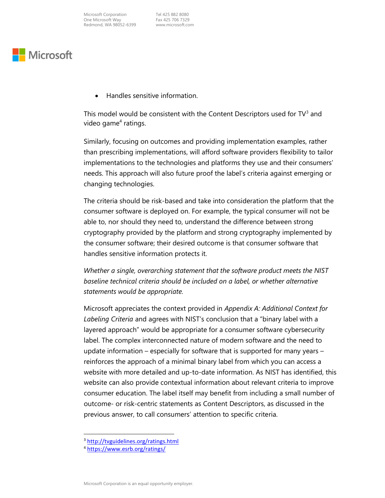### Microsoft

Handles sensitive information.

This model would be consistent with the Content Descriptors used for TV $^3$  and video game<sup>4</sup> ratings.

 Similarly, focusing on outcomes and providing implementation examples, rather than prescribing implementations, will afford software providers flexibility to tailor implementations to the technologies and platforms they use and their consumers' needs. This approach will also future proof the label's criteria against emerging or changing technologies.

 The criteria should be risk-based and take into consideration the platform that the consumer software is deployed on. For example, the typical consumer will not be able to, nor should they need to, understand the difference between strong cryptography provided by the platform and strong cryptography implemented by the consumer software; their desired outcome is that consumer software that handles sensitive information protects it.

 Whether a single, overarching statement that the software product meets the NIST baseline technical criteria should be included on a label, or whether alternative statements would be appropriate.

Microsoft appreciates the context provided in Appendix A: Additional Context for Labeling Criteria and agrees with NIST's conclusion that a "binary label with a layered approach" would be appropriate for a consumer software cybersecurity label. The complex interconnected nature of modern software and the need to update information – especially for software that is supported for many years – reinforces the approach of a minimal binary label from which you can access a website with more detailed and up-to-date information. As NIST has identified, this website can also provide contextual information about relevant criteria to improve consumer education. The label itself may benefit from including a small number of outcome- or risk-centric statements as Content Descriptors, as discussed in the previous answer, to call consumers' attention to specific criteria.

<sup>&</sup>lt;sup>3</sup> <http://tvguidelines.org/ratings.html>

 <sup>4</sup> <https://www.esrb.org/ratings>/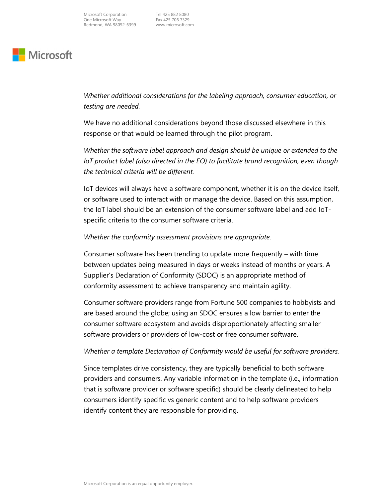# **Nicrosoft**

 Whether additional considerations for the labeling approach, consumer education, or testing are needed.

 We have no additional considerations beyond those discussed elsewhere in this response or that would be learned through the pilot program.

 Whether the software label approach and design should be unique or extended to the IoT product label (also directed in the EO) to facilitate brand recognition, even though the technical criteria will be different.

 IoT devices will always have a software component, whether it is on the device itself, or software used to interact with or manage the device. Based on this assumption, the IoT label should be an extension of the consumer software label and add IoT-specific criteria to the consumer software criteria.

#### Whether the conformity assessment provisions are appropriate.

 Consumer software has been trending to update more frequently – with time between updates being measured in days or weeks instead of months or years. A Supplier's Declaration of Conformity (SDOC) is an appropriate method of conformity assessment to achieve transparency and maintain agility.

 Consumer software providers range from Fortune 500 companies to hobbyists and are based around the globe; using an SDOC ensures a low barrier to enter the consumer software ecosystem and avoids disproportionately affecting smaller software providers or providers of low-cost or free consumer software.

### Whether a template Declaration of Conformity would be useful for software providers.

 Since templates drive consistency, they are typically beneficial to both software providers and consumers. Any variable information in the template (i.e., information that is software provider or software specific) should be clearly delineated to help consumers identify specific vs generic content and to help software providers identify content they are responsible for providing.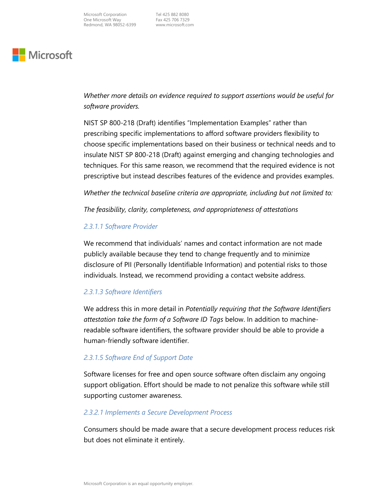# **Microsoft**

 Whether more details on evidence required to support assertions would be useful for software providers.

 NIST SP 800-218 (Draft) identifies "Implementation Examples" rather than prescribing specific implementations to afford software providers flexibility to choose specific implementations based on their business or technical needs and to insulate NIST SP 800-218 (Draft) against emerging and changing technologies and techniques. For this same reason, we recommend that the required evidence is not prescriptive but instead describes features of the evidence and provides examples.

Whether the technical baseline criteria are appropriate, including but not limited to:

The feasibility, clarity, completeness, and appropriateness of attestations

#### 2.3.1.1 Software Provider

 We recommend that individuals' names and contact information are not made publicly available because they tend to change frequently and to minimize disclosure of PII (Personally Identifiable Information) and potential risks to those individuals. Instead, we recommend providing a contact website address.

#### 2.3.1.3 Software Identifiers

We address this in more detail in Potentially requiring that the Software Identifiers attestation take the form of a Software ID Tags below. In addition to machine- readable software identifiers, the software provider should be able to provide a human-friendly software identifier.

#### 2.3.1.5 Software End of Support Date

 Software licenses for free and open source software often disclaim any ongoing support obligation. Effort should be made to not penalize this software while still supporting customer awareness.

#### 2.3.2.1 Implements a Secure Development Process

 Consumers should be made aware that a secure development process reduces risk but does not eliminate it entirely.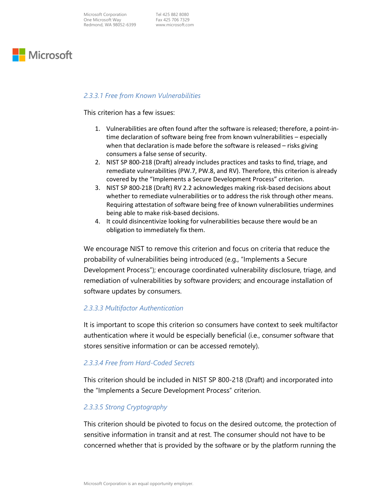

#### 2.3.3.1 Free from Known Vulnerabilities

This criterion has a few issues:

- 1. Vulnerabilities are often found after the software is released; therefore, a point-in- time declaration of software being free from known vulnerabilities – especially when that declaration is made before the software is released – risks giving consumers a false sense of security.
- 2. NIST SP 800-218 (Draft) already includes practices and tasks to find, triage, and remediate vulnerabilities (PW.7, PW.8, and RV). Therefore, this criterion is already covered by the "Implements a Secure Development Process" criterion.
- 3. NIST SP 800-218 (Draft) RV 2.2 acknowledges making risk-based decisions about whether to remediate vulnerabilities or to address the risk through other means. Requiring attestation of software being free of known vulnerabilities undermines being able to make risk-based decisions.
- 4. It could disincentivize looking for vulnerabilities because there would be an obligation to immediately fix them.

 We encourage NIST to remove this criterion and focus on criteria that reduce the probability of vulnerabilities being introduced (e.g., "Implements a Secure Development Process"); encourage coordinated vulnerability disclosure, triage, and remediation of vulnerabilities by software providers; and encourage installation of software updates by consumers.

#### 2.3.3.3 Multifactor Authentication

 It is important to scope this criterion so consumers have context to seek multifactor authentication where it would be especially beneficial (i.e., consumer software that stores sensitive information or can be accessed remotely).

#### 2.3.3.4 Free from Hard-Coded Secrets

 This criterion should be included in NIST SP 800-218 (Draft) and incorporated into the "Implements a Secure Development Process" criterion.

#### 2.3.3.5 Strong Cryptography

 This criterion should be pivoted to focus on the desired outcome, the protection of sensitive information in transit and at rest. The consumer should not have to be concerned whether that is provided by the software or by the platform running the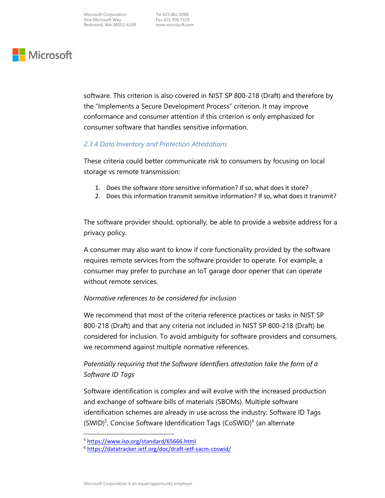# **Microsoft**

 software. This criterion is also covered in NIST SP 800-218 (Draft) and therefore by the "Implements a Secure Development Process" criterion. It may improve conformance and consumer attention if this criterion is only emphasized for consumer software that handles sensitive information.

### 2.3.4 Data Inventory and Protection Attestations

 These criteria could better communicate risk to consumers by focusing on local storage vs remote transmission:

- 1. Does the software store sensitive information? If so, what does it store?
- 2. Does this information transmit sensitive information? If so, what does it transmit?

 The software provider should, optionally, be able to provide a website address for a privacy policy.

 A consumer may also want to know if core functionality provided by the software requires remote services from the software provider to operate. For example, a consumer may prefer to purchase an IoT garage door opener that can operate without remote services.

#### Normative references to be considered for inclusion

 We recommend that most of the criteria reference practices or tasks in NIST SP 800-218 (Draft) and that any criteria not included in NIST SP 800-218 (Draft) be considered for inclusion. To avoid ambiguity for software providers and consumers, we recommend against multiple normative references.

### Potentially requiring that the Software Identifiers attestation take the form of a Software ID Tags

 Software identification is complex and will evolve with the increased production and exchange of software bills of materials (SBOMs). Multiple software identification schemes are already in use across the industry: Software ID Tags  $(SWID)^5$ , Concise Software Identification Tags (CoSWID)<sup>6</sup> (an alternate

<sup>&</sup>lt;sup>5</sup> <https://www.iso.org/standard/65666.html>

 <sup>6</sup> <https://datatracker.ietf.org/doc/draft-ietf-sacm-coswid>/